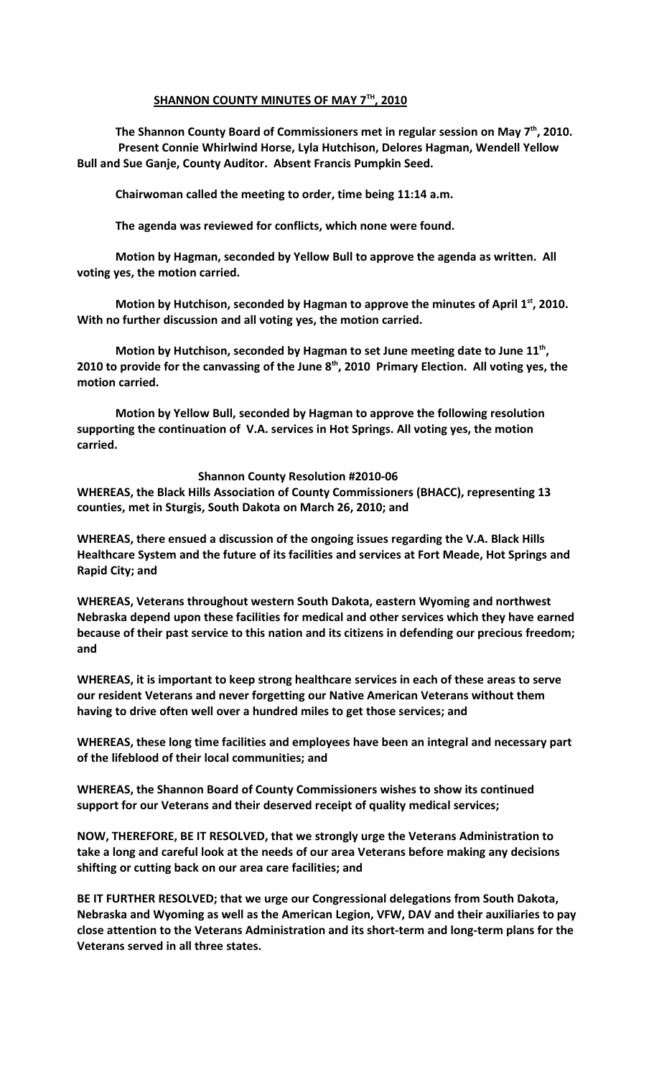### **SHANNON COUNTY MINUTES OF MAY 7TH , 2010**

**The Shannon County Board of Commissioners met in regular session on May 7th, 2010. Present Connie Whirlwind Horse, Lyla Hutchison, Delores Hagman, Wendell Yellow Bull and Sue Ganje, County Auditor. Absent Francis Pumpkin Seed.**

**Chairwoman called the meeting to order, time being 11:14 a.m.**

**The agenda was reviewed for conflicts, which none were found.**

**Motion by Hagman, seconded by Yellow Bull to approve the agenda as written. All voting yes, the motion carried.**

**Motion by Hutchison, seconded by Hagman to approve the minutes of April 1st, 2010. With no further discussion and all voting yes, the motion carried.**

**Motion by Hutchison, seconded by Hagman to set June meeting date to June 11th , 2010 to provide for the canvassing of the June 8th, 2010 Primary Election. All voting yes, the motion carried.**

**Motion by Yellow Bull, seconded by Hagman to approve the following resolution supporting the continuation of V.A. services in Hot Springs. All voting yes, the motion carried.**

 **Shannon County Resolution #2010-06**

**WHEREAS, the Black Hills Association of County Commissioners (BHACC), representing 13 counties, met in Sturgis, South Dakota on March 26, 2010; and**

**WHEREAS, there ensued a discussion of the ongoing issues regarding the V.A. Black Hills Healthcare System and the future of its facilities and services at Fort Meade, Hot Springs and Rapid City; and**

**WHEREAS, Veterans throughout western South Dakota, eastern Wyoming and northwest Nebraska depend upon these facilities for medical and other services which they have earned because of their past service to this nation and its citizens in defending our precious freedom; and**

**WHEREAS, it is important to keep strong healthcare services in each of these areas to serve our resident Veterans and never forgetting our Native American Veterans without them having to drive often well over a hundred miles to get those services; and**

**WHEREAS, these long time facilities and employees have been an integral and necessary part of the lifeblood of their local communities; and**

**WHEREAS, the Shannon Board of County Commissioners wishes to show its continued support for our Veterans and their deserved receipt of quality medical services;**

**NOW, THEREFORE, BE IT RESOLVED, that we strongly urge the Veterans Administration to take a long and careful look at the needs of our area Veterans before making any decisions shifting or cutting back on our area care facilities; and**

**BE IT FURTHER RESOLVED; that we urge our Congressional delegations from South Dakota, Nebraska and Wyoming as well as the American Legion, VFW, DAV and their auxiliaries to pay close attention to the Veterans Administration and its short-term and long-term plans for the Veterans served in all three states.**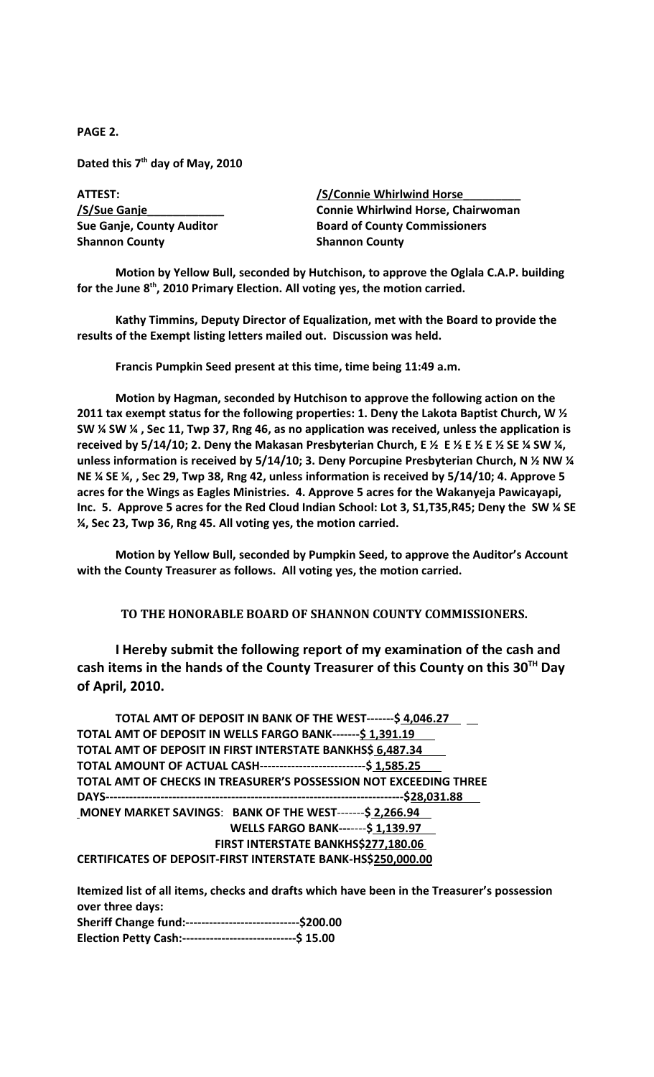**PAGE 2.**

**Dated this 7th day of May, 2010**

ATTEST: /S/Connie Whirlwind Horse **/S/Sue Ganje\_\_\_\_\_\_\_\_\_\_\_\_ Connie Whirlwind Horse, Chairwoman Sue Ganje, County Auditor Board of County Commissioners Shannon County Shannon County** 

**Motion by Yellow Bull, seconded by Hutchison, to approve the Oglala C.A.P. building for the June 8th, 2010 Primary Election. All voting yes, the motion carried.** 

**Kathy Timmins, Deputy Director of Equalization, met with the Board to provide the results of the Exempt listing letters mailed out. Discussion was held.**

**Francis Pumpkin Seed present at this time, time being 11:49 a.m.**

**Motion by Hagman, seconded by Hutchison to approve the following action on the 2011 tax exempt status for the following properties: 1. Deny the Lakota Baptist Church, W ½ SW ¼ SW ¼ , Sec 11, Twp 37, Rng 46, as no application was received, unless the application is received by 5/14/10; 2. Deny the Makasan Presbyterian Church, E ½ E ½ E ½ E ½ SE ¼ SW ¼, unless information is received by 5/14/10; 3. Deny Porcupine Presbyterian Church, N ½ NW ¼ NE ¼ SE ¼, , Sec 29, Twp 38, Rng 42, unless information is received by 5/14/10; 4. Approve 5 acres for the Wings as Eagles Ministries. 4. Approve 5 acres for the Wakanyeja Pawicayapi, Inc. 5. Approve 5 acres for the Red Cloud Indian School: Lot 3, S1,T35,R45; Deny the SW ¼ SE ¼, Sec 23, Twp 36, Rng 45. All voting yes, the motion carried.**

**Motion by Yellow Bull, seconded by Pumpkin Seed, to approve the Auditor's Account with the County Treasurer as follows. All voting yes, the motion carried.**

**TO THE HONORABLE BOARD OF SHANNON COUNTY COMMISSIONERS.** 

**I Hereby submit the following report of my examination of the cash and cash items in the hands of the County Treasurer of this County on this 30TH Day of April, 2010.**

 **TOTAL AMT OF DEPOSIT IN BANK OF THE WEST-------\$ 4,046.27 TOTAL AMT OF DEPOSIT IN WELLS FARGO BANK-------\$ 1,391.19 TOTAL AMT OF DEPOSIT IN FIRST INTERSTATE BANKHS\$ 6,487.34 TOTAL AMOUNT OF ACTUAL CASH**---------------------------**\$ 1,585.25 TOTAL AMT OF CHECKS IN TREASURER'S POSSESSION NOT EXCEEDING THREE DAYS----------------------------------------------------------------------------\$28,031.88 MONEY MARKET SAVINGS**: **BANK OF THE WEST**-------**\$ 2,266.94 WELLS FARGO BANK---**----**\$ 1,139.97 FIRST INTERSTATE BANKHS\$277,180.06 CERTIFICATES OF DEPOSIT-FIRST INTERSTATE BANK-HS\$250,000.00**

**Itemized list of all items, checks and drafts which have been in the Treasurer's possession over three days: Sheriff Change fund:-----------------------------\$200.00 Election Petty Cash:-----------------------------\$ 15.00**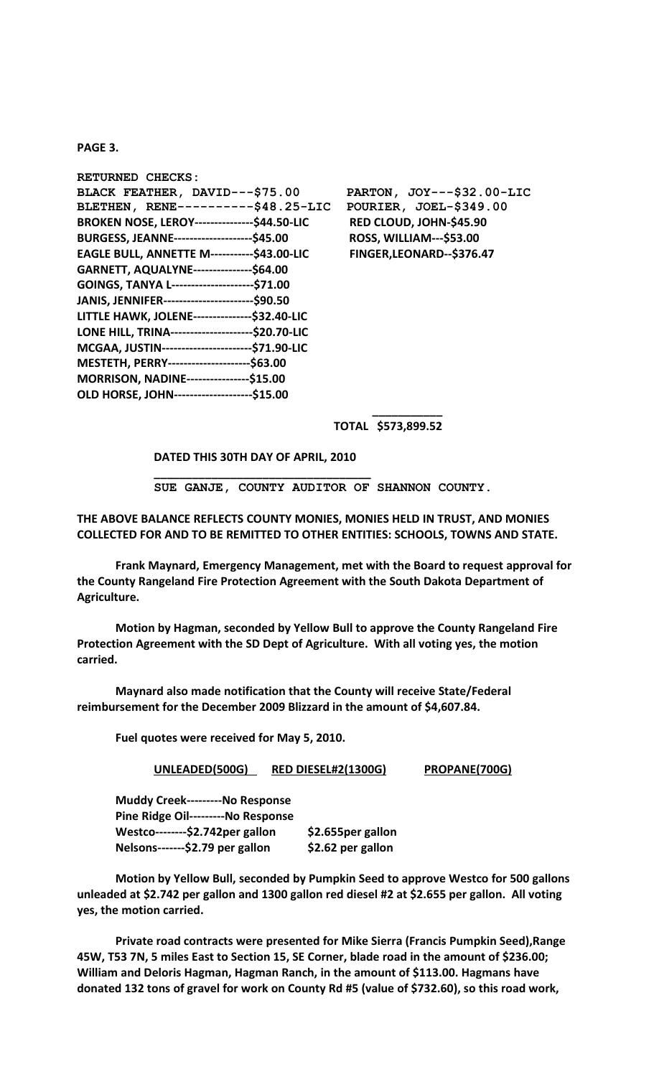#### **PAGE 3.**

| RETURNED CHECKS:                                      |                                |
|-------------------------------------------------------|--------------------------------|
| BLACK FEATHER, DAVID---\$75.00                        | PARTON, JOY---\$32.00-LIC      |
| BLETHEN, RENE---------\$48.25-LIC                     | POURIER, JOEL-\$349.00         |
| <b>BROKEN NOSE, LEROY-----------------\$44.50-LIC</b> | RED CLOUD, JOHN-\$45.90        |
| BURGESS, JEANNE----------------------\$45.00          | <b>ROSS, WILLIAM---\$53.00</b> |
| <b>EAGLE BULL, ANNETTE M-----------\$43.00-LIC</b>    | FINGER, LEONARD--\$376.47      |
| GARNETT, AQUALYNE---------------\$64.00               |                                |
| GOINGS, TANYA L----------------------\$71.00          |                                |
| JANIS, JENNIFER-------------------------\$90.50       |                                |
| LITTLE HAWK, JOLENE---------------\$32.40-LIC         |                                |
| LONE HILL, TRINA----------------------\$20.70-LIC     |                                |
| MCGAA, JUSTIN------------------------\$71.90-LIC      |                                |
| MESTETH, PERRY----------------------\$63.00           |                                |
| MORRISON, NADINE----------------\$15.00               |                                |
| OLD HORSE, JOHN--------------------\$15.00            |                                |

 **\_\_\_\_\_\_\_\_\_\_\_ TOTAL \$573,899.52** 

## **DATED THIS 30TH DAY OF APRIL, 2010 \_\_\_\_\_\_\_\_\_\_\_\_\_\_\_\_\_\_\_\_\_\_\_\_\_\_\_\_\_\_\_\_\_\_**

 **SUE GANJE, COUNTY AUDITOR OF SHANNON COUNTY.**

### **THE ABOVE BALANCE REFLECTS COUNTY MONIES, MONIES HELD IN TRUST, AND MONIES COLLECTED FOR AND TO BE REMITTED TO OTHER ENTITIES: SCHOOLS, TOWNS AND STATE.**

**Frank Maynard, Emergency Management, met with the Board to request approval for the County Rangeland Fire Protection Agreement with the South Dakota Department of Agriculture.**

**Motion by Hagman, seconded by Yellow Bull to approve the County Rangeland Fire Protection Agreement with the SD Dept of Agriculture. With all voting yes, the motion carried.**

**Maynard also made notification that the County will receive State/Federal reimbursement for the December 2009 Blizzard in the amount of \$4,607.84.**

**Fuel quotes were received for May 5, 2010.**

#### **UNLEADED(500G) RED DIESEL#2(1300G) PROPANE(700G)**

**Muddy Creek---------No Response Pine Ridge Oil---------No Response Westco--------\$2.742per gallon \$2.655per gallon Nelsons-------\$2.79 per gallon \$2.62 per gallon**

**Motion by Yellow Bull, seconded by Pumpkin Seed to approve Westco for 500 gallons unleaded at \$2.742 per gallon and 1300 gallon red diesel #2 at \$2.655 per gallon. All voting yes, the motion carried.** 

**Private road contracts were presented for Mike Sierra (Francis Pumpkin Seed),Range 45W, T53 7N, 5 miles East to Section 15, SE Corner, blade road in the amount of \$236.00; William and Deloris Hagman, Hagman Ranch, in the amount of \$113.00. Hagmans have donated 132 tons of gravel for work on County Rd #5 (value of \$732.60), so this road work,**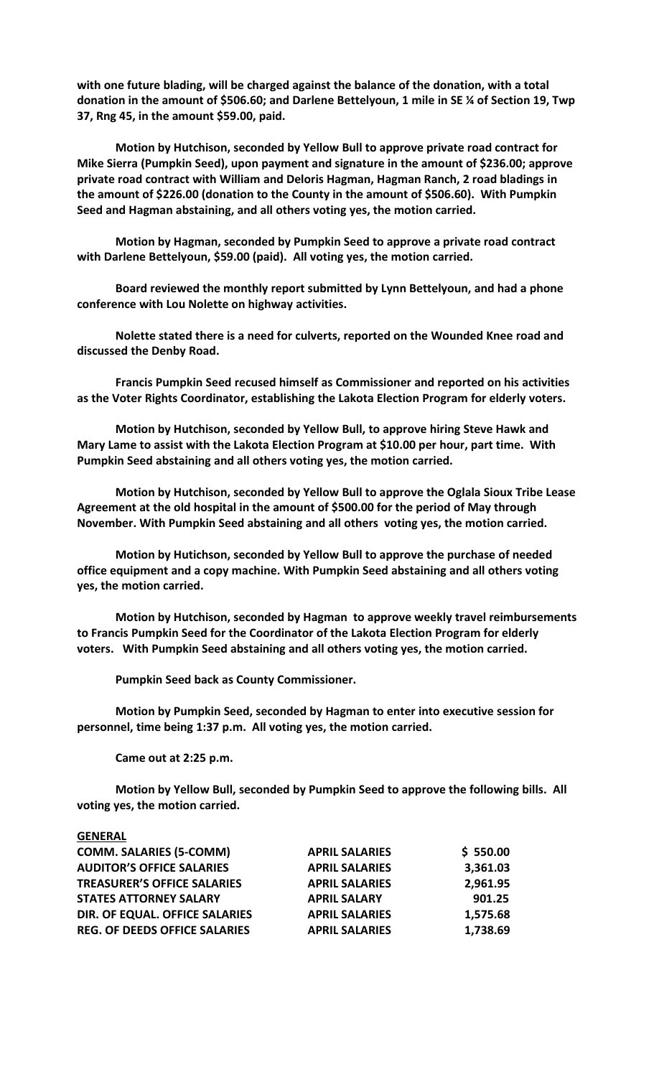**with one future blading, will be charged against the balance of the donation, with a total donation in the amount of \$506.60; and Darlene Bettelyoun, 1 mile in SE ¼ of Section 19, Twp 37, Rng 45, in the amount \$59.00, paid.** 

**Motion by Hutchison, seconded by Yellow Bull to approve private road contract for Mike Sierra (Pumpkin Seed), upon payment and signature in the amount of \$236.00; approve private road contract with William and Deloris Hagman, Hagman Ranch, 2 road bladings in the amount of \$226.00 (donation to the County in the amount of \$506.60). With Pumpkin Seed and Hagman abstaining, and all others voting yes, the motion carried.**

**Motion by Hagman, seconded by Pumpkin Seed to approve a private road contract with Darlene Bettelyoun, \$59.00 (paid). All voting yes, the motion carried.**

**Board reviewed the monthly report submitted by Lynn Bettelyoun, and had a phone conference with Lou Nolette on highway activities.**

**Nolette stated there is a need for culverts, reported on the Wounded Knee road and discussed the Denby Road.** 

**Francis Pumpkin Seed recused himself as Commissioner and reported on his activities as the Voter Rights Coordinator, establishing the Lakota Election Program for elderly voters.**

**Motion by Hutchison, seconded by Yellow Bull, to approve hiring Steve Hawk and Mary Lame to assist with the Lakota Election Program at \$10.00 per hour, part time. With Pumpkin Seed abstaining and all others voting yes, the motion carried.**

**Motion by Hutchison, seconded by Yellow Bull to approve the Oglala Sioux Tribe Lease Agreement at the old hospital in the amount of \$500.00 for the period of May through November. With Pumpkin Seed abstaining and all others voting yes, the motion carried.**

**Motion by Hutichson, seconded by Yellow Bull to approve the purchase of needed office equipment and a copy machine. With Pumpkin Seed abstaining and all others voting yes, the motion carried.**

**Motion by Hutchison, seconded by Hagman to approve weekly travel reimbursements to Francis Pumpkin Seed for the Coordinator of the Lakota Election Program for elderly voters. With Pumpkin Seed abstaining and all others voting yes, the motion carried.**

**Pumpkin Seed back as County Commissioner.**

**Motion by Pumpkin Seed, seconded by Hagman to enter into executive session for personnel, time being 1:37 p.m. All voting yes, the motion carried.**

**Came out at 2:25 p.m.**

**Motion by Yellow Bull, seconded by Pumpkin Seed to approve the following bills. All voting yes, the motion carried.**

| <b>GENERAL</b>                       |                       |          |
|--------------------------------------|-----------------------|----------|
| <b>COMM. SALARIES (5-COMM)</b>       | <b>APRIL SALARIES</b> | \$550.00 |
| <b>AUDITOR'S OFFICE SALARIES</b>     | <b>APRIL SALARIES</b> | 3,361.03 |
| <b>TREASURER'S OFFICE SALARIES</b>   | <b>APRIL SALARIES</b> | 2,961.95 |
| <b>STATES ATTORNEY SALARY</b>        | <b>APRIL SALARY</b>   | 901.25   |
| DIR. OF EQUAL. OFFICE SALARIES       | <b>APRIL SALARIES</b> | 1,575.68 |
| <b>REG. OF DEEDS OFFICE SALARIES</b> | <b>APRIL SALARIES</b> | 1,738.69 |
|                                      |                       |          |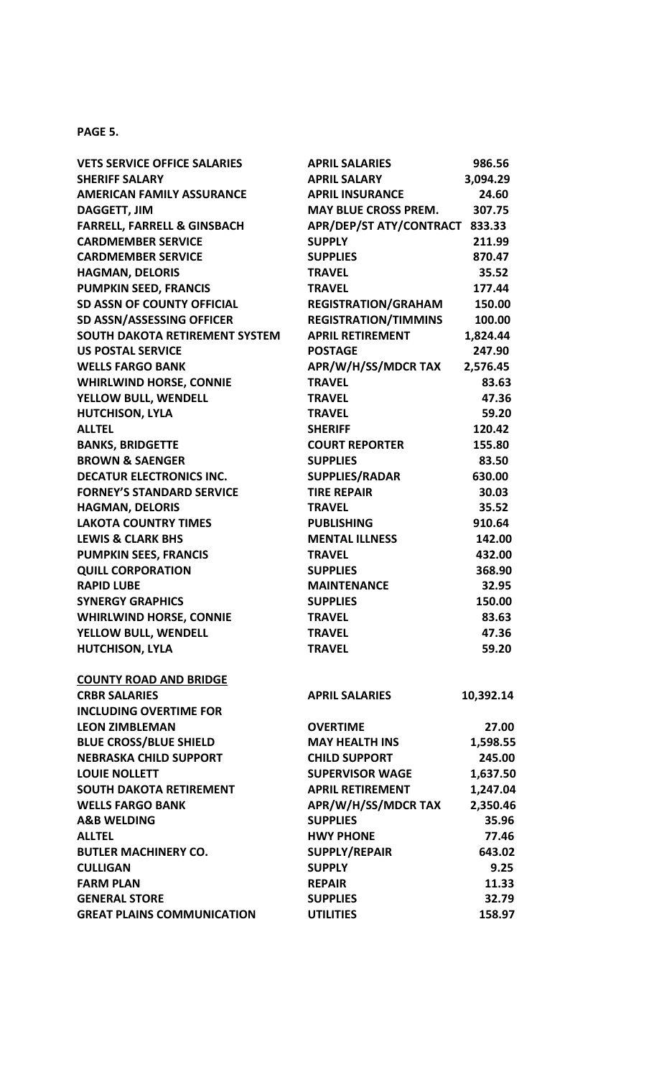## **PAGE 5.**

| <b>VETS SERVICE OFFICE SALARIES</b>    | <b>APRIL SALARIES</b>          | 986.56    |
|----------------------------------------|--------------------------------|-----------|
| <b>SHERIFF SALARY</b>                  | <b>APRIL SALARY</b>            | 3,094.29  |
| <b>AMERICAN FAMILY ASSURANCE</b>       | <b>APRIL INSURANCE</b>         | 24.60     |
| <b>DAGGETT, JIM</b>                    | <b>MAY BLUE CROSS PREM.</b>    | 307.75    |
| <b>FARRELL, FARRELL &amp; GINSBACH</b> | APR/DEP/ST ATY/CONTRACT 833.33 |           |
| <b>CARDMEMBER SERVICE</b>              | <b>SUPPLY</b>                  | 211.99    |
| <b>CARDMEMBER SERVICE</b>              | <b>SUPPLIES</b>                | 870.47    |
| <b>HAGMAN, DELORIS</b>                 | <b>TRAVEL</b>                  | 35.52     |
| <b>PUMPKIN SEED, FRANCIS</b>           | <b>TRAVEL</b>                  | 177.44    |
| <b>SD ASSN OF COUNTY OFFICIAL</b>      | <b>REGISTRATION/GRAHAM</b>     | 150.00    |
| SD ASSN/ASSESSING OFFICER              | <b>REGISTRATION/TIMMINS</b>    | 100.00    |
| SOUTH DAKOTA RETIREMENT SYSTEM         | <b>APRIL RETIREMENT</b>        | 1,824.44  |
| <b>US POSTAL SERVICE</b>               | <b>POSTAGE</b>                 | 247.90    |
| <b>WELLS FARGO BANK</b>                | APR/W/H/SS/MDCR TAX            | 2,576.45  |
| <b>WHIRLWIND HORSE, CONNIE</b>         | <b>TRAVEL</b>                  | 83.63     |
| YELLOW BULL, WENDELL                   | <b>TRAVEL</b>                  | 47.36     |
| <b>HUTCHISON, LYLA</b>                 | <b>TRAVEL</b>                  | 59.20     |
| <b>ALLTEL</b>                          | <b>SHERIFF</b>                 | 120.42    |
| <b>BANKS, BRIDGETTE</b>                | <b>COURT REPORTER</b>          | 155.80    |
| <b>BROWN &amp; SAENGER</b>             | <b>SUPPLIES</b>                | 83.50     |
| <b>DECATUR ELECTRONICS INC.</b>        | <b>SUPPLIES/RADAR</b>          | 630.00    |
| <b>FORNEY'S STANDARD SERVICE</b>       | <b>TIRE REPAIR</b>             | 30.03     |
| <b>HAGMAN, DELORIS</b>                 | <b>TRAVEL</b>                  | 35.52     |
| <b>LAKOTA COUNTRY TIMES</b>            | <b>PUBLISHING</b>              | 910.64    |
| <b>LEWIS &amp; CLARK BHS</b>           | <b>MENTAL ILLNESS</b>          | 142.00    |
| <b>PUMPKIN SEES, FRANCIS</b>           | <b>TRAVEL</b>                  | 432.00    |
| <b>QUILL CORPORATION</b>               | <b>SUPPLIES</b>                | 368.90    |
| <b>RAPID LUBE</b>                      | <b>MAINTENANCE</b>             | 32.95     |
| <b>SYNERGY GRAPHICS</b>                | <b>SUPPLIES</b>                | 150.00    |
| <b>WHIRLWIND HORSE, CONNIE</b>         | <b>TRAVEL</b>                  | 83.63     |
| YELLOW BULL, WENDELL                   | <b>TRAVFL</b>                  | 47.36     |
| <b>HUTCHISON, LYLA</b>                 | <b>TRAVEL</b>                  | 59.20     |
| <b>COUNTY ROAD AND BRIDGE</b>          |                                |           |
| <b>CRBR SALARIES</b>                   | <b>APRIL SALARIES</b>          | 10,392.14 |
| <b>INCLUDING OVERTIME FOR</b>          |                                |           |
| <b>LEON ZIMBLEMAN</b>                  | <b>OVERTIME</b>                | 27.00     |
| <b>BLUE CROSS/BLUE SHIELD</b>          | <b>MAY HEALTH INS</b>          | 1,598.55  |
| <b>NEBRASKA CHILD SUPPORT</b>          | <b>CHILD SUPPORT</b>           | 245.00    |
| <b>LOUIE NOLLETT</b>                   | <b>SUPERVISOR WAGE</b>         | 1,637.50  |
| <b>SOUTH DAKOTA RETIREMENT</b>         | <b>APRIL RETIREMENT</b>        | 1,247.04  |
| <b>WELLS FARGO BANK</b>                | APR/W/H/SS/MDCR TAX            | 2,350.46  |
| <b>A&amp;B WELDING</b>                 | <b>SUPPLIES</b>                | 35.96     |
| <b>ALLTEL</b>                          | <b>HWY PHONE</b>               | 77.46     |
| <b>BUTLER MACHINERY CO.</b>            | <b>SUPPLY/REPAIR</b>           | 643.02    |
| <b>CULLIGAN</b>                        | <b>SUPPLY</b>                  | 9.25      |
| <b>FARM PLAN</b>                       | <b>REPAIR</b>                  | 11.33     |
| <b>GENERAL STORE</b>                   | <b>SUPPLIES</b>                | 32.79     |
| <b>GREAT PLAINS COMMUNICATION</b>      | <b>UTILITIES</b>               | 158.97    |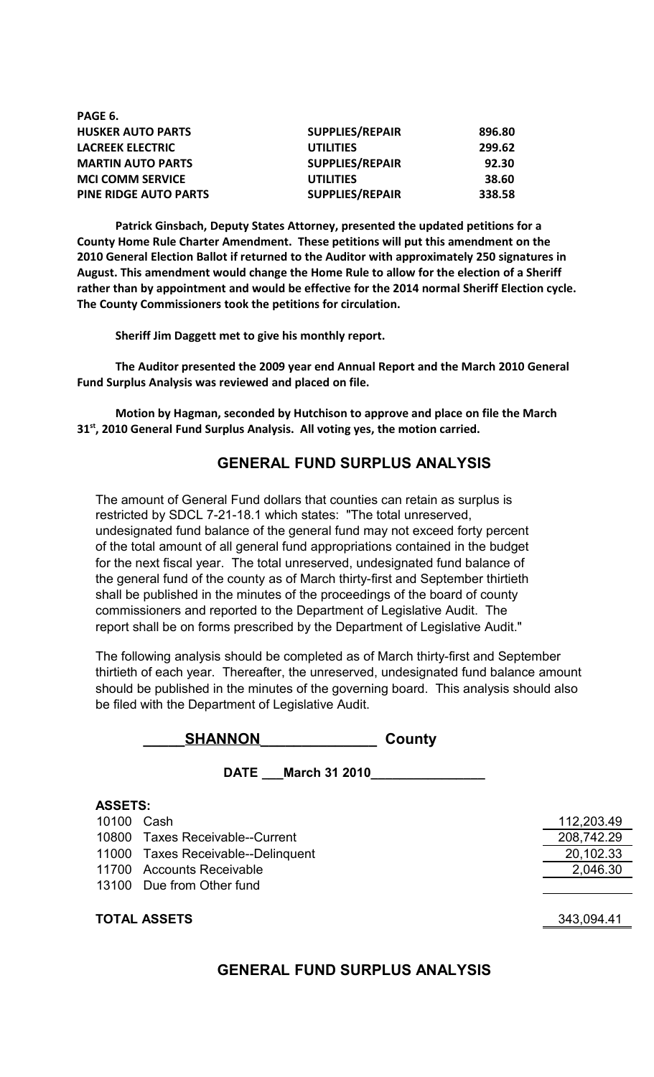| PAGE 6.                      |                        |        |
|------------------------------|------------------------|--------|
| <b>HUSKER AUTO PARTS</b>     | <b>SUPPLIES/REPAIR</b> | 896.80 |
| <b>LACREEK ELECTRIC</b>      | <b>UTILITIES</b>       | 299.62 |
| <b>MARTIN AUTO PARTS</b>     | <b>SUPPLIES/REPAIR</b> | 92.30  |
| <b>MCI COMM SERVICE</b>      | <b>UTILITIES</b>       | 38.60  |
| <b>PINE RIDGE AUTO PARTS</b> | <b>SUPPLIES/REPAIR</b> | 338.58 |

**Patrick Ginsbach, Deputy States Attorney, presented the updated petitions for a County Home Rule Charter Amendment. These petitions will put this amendment on the 2010 General Election Ballot if returned to the Auditor with approximately 250 signatures in August. This amendment would change the Home Rule to allow for the election of a Sheriff rather than by appointment and would be effective for the 2014 normal Sheriff Election cycle. The County Commissioners took the petitions for circulation.**

**Sheriff Jim Daggett met to give his monthly report.**

**The Auditor presented the 2009 year end Annual Report and the March 2010 General Fund Surplus Analysis was reviewed and placed on file.**

**Motion by Hagman, seconded by Hutchison to approve and place on file the March 31st, 2010 General Fund Surplus Analysis. All voting yes, the motion carried.**

# **GENERAL FUND SURPLUS ANALYSIS**

The amount of General Fund dollars that counties can retain as surplus is restricted by SDCL 7-21-18.1 which states: "The total unreserved, undesignated fund balance of the general fund may not exceed forty percent of the total amount of all general fund appropriations contained in the budget for the next fiscal year. The total unreserved, undesignated fund balance of the general fund of the county as of March thirty-first and September thirtieth shall be published in the minutes of the proceedings of the board of county commissioners and reported to the Department of Legislative Audit. The report shall be on forms prescribed by the Department of Legislative Audit."

The following analysis should be completed as of March thirty-first and September thirtieth of each year. Thereafter, the unreserved, undesignated fund balance amount should be published in the minutes of the governing board. This analysis should also be filed with the Department of Legislative Audit.

| <b>SHANNON</b> | County |
|----------------|--------|
|                |        |

| DATE March 31 2010                 |            |
|------------------------------------|------------|
| <b>ASSETS:</b>                     |            |
| 10100 Cash                         | 112,203.49 |
| 10800 Taxes Receivable--Current    | 208,742.29 |
| 11000 Taxes Receivable--Delinquent | 20,102.33  |
| 11700 Accounts Receivable          | 2,046.30   |
| 13100 Due from Other fund          |            |
|                                    |            |
| <b>TOTAL ASSETS</b>                | 343,094.41 |

# **GENERAL FUND SURPLUS ANALYSIS**